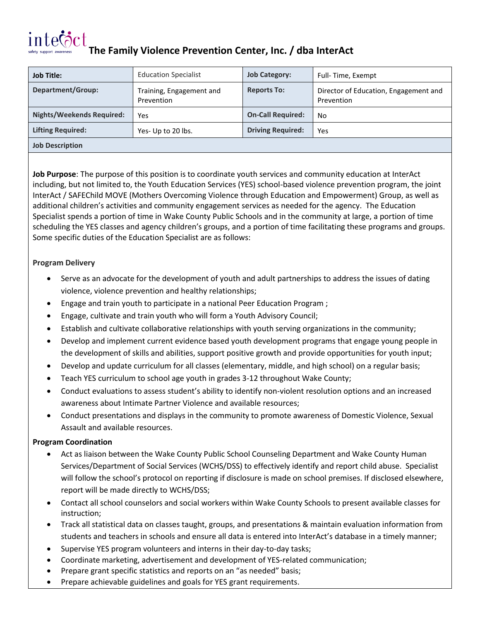# intera

**The Family Violence Prevention Center, Inc. / dba InterAct**

| <b>Job Title:</b>         | <b>Education Specialist</b>            | <b>Job Category:</b>     | Full-Time, Exempt                                   |
|---------------------------|----------------------------------------|--------------------------|-----------------------------------------------------|
| Department/Group:         | Training, Engagement and<br>Prevention | <b>Reports To:</b>       | Director of Education, Engagement and<br>Prevention |
| Nights/Weekends Required: | Yes                                    | <b>On-Call Required:</b> | No.                                                 |
| <b>Lifting Required:</b>  | Yes- Up to 20 lbs.                     | <b>Driving Required:</b> | Yes                                                 |
| <b>Job Description</b>    |                                        |                          |                                                     |

**Job Purpose**: The purpose of this position is to coordinate youth services and community education at InterAct including, but not limited to, the Youth Education Services (YES) school-based violence prevention program, the joint InterAct / SAFEChild MOVE (Mothers Overcoming Violence through Education and Empowerment) Group, as well as additional children's activities and community engagement services as needed for the agency. The Education Specialist spends a portion of time in Wake County Public Schools and in the community at large, a portion of time scheduling the YES classes and agency children's groups, and a portion of time facilitating these programs and groups. Some specific duties of the Education Specialist are as follows:

### **Program Delivery**

- Serve as an advocate for the development of youth and adult partnerships to address the issues of dating violence, violence prevention and healthy relationships;
- Engage and train youth to participate in a national Peer Education Program ;
- Engage, cultivate and train youth who will form a Youth Advisory Council;
- Establish and cultivate collaborative relationships with youth serving organizations in the community;
- Develop and implement current evidence based youth development programs that engage young people in the development of skills and abilities, support positive growth and provide opportunities for youth input;
- Develop and update curriculum for all classes (elementary, middle, and high school) on a regular basis;
- Teach YES curriculum to school age youth in grades 3-12 throughout Wake County;
- Conduct evaluations to assess student's ability to identify non-violent resolution options and an increased awareness about Intimate Partner Violence and available resources;
- Conduct presentations and displays in the community to promote awareness of Domestic Violence, Sexual Assault and available resources.

## **Program Coordination**

- Act as liaison between the Wake County Public School Counseling Department and Wake County Human Services/Department of Social Services (WCHS/DSS) to effectively identify and report child abuse. Specialist will follow the school's protocol on reporting if disclosure is made on school premises. If disclosed elsewhere, report will be made directly to WCHS/DSS;
- Contact all school counselors and social workers within Wake County Schools to present available classes for instruction;
- Track all statistical data on classes taught, groups, and presentations & maintain evaluation information from students and teachers in schools and ensure all data is entered into InterAct's database in a timely manner;
- Supervise YES program volunteers and interns in their day-to-day tasks;
- Coordinate marketing, advertisement and development of YES-related communication;
- Prepare grant specific statistics and reports on an "as needed" basis;
- Prepare achievable guidelines and goals for YES grant requirements.